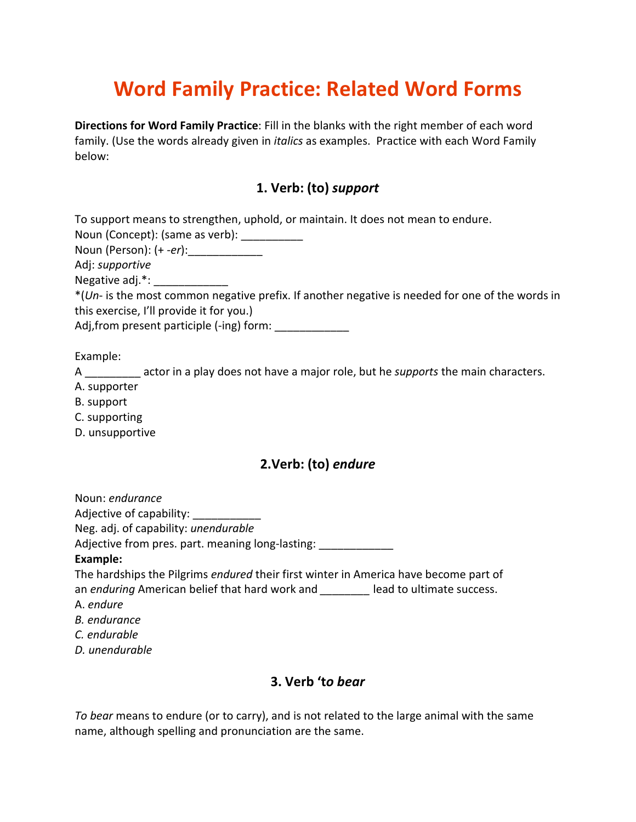# Word Family Practice: Related Word Forms

Directions for Word Family Practice: Fill in the blanks with the right member of each word family. (Use the words already given in *italics* as examples. Practice with each Word Family below:

# 1. Verb: (to) support

| To support means to strengthen, uphold, or maintain. It does not mean to endure.                  |
|---------------------------------------------------------------------------------------------------|
| Noun (Concept): (same as verb):                                                                   |
| Noun (Person): (+ -er):______________                                                             |
| Adj: <i>supportive</i>                                                                            |
| Negative adj.*:                                                                                   |
| $*(Un-$ is the most common negative prefix. If another negative is needed for one of the words in |
| this exercise, I'll provide it for you.)                                                          |
| Adj, from present participle (-ing) form:                                                         |
|                                                                                                   |
|                                                                                                   |

Example:

A actor in a play does not have a major role, but he supports the main characters.

- A. supporter
- B. support
- C. supporting
- D. unsupportive

# 2.Verb: (to) endure

Noun: endurance Adjective of capability: \_\_\_\_\_\_\_\_\_\_\_ Neg. adj. of capability: unendurable Adjective from pres. part. meaning long-lasting: \_\_\_\_\_\_\_\_\_\_\_\_\_ Example: The hardships the Pilgrims endured their first winter in America have become part of an enduring American belief that hard work and \_\_\_\_\_\_\_\_ lead to ultimate success.

- A. endure
- B. endurance
- C. endurable
- D. unendurable

# 3. Verb 'to bear

To bear means to endure (or to carry), and is not related to the large animal with the same name, although spelling and pronunciation are the same.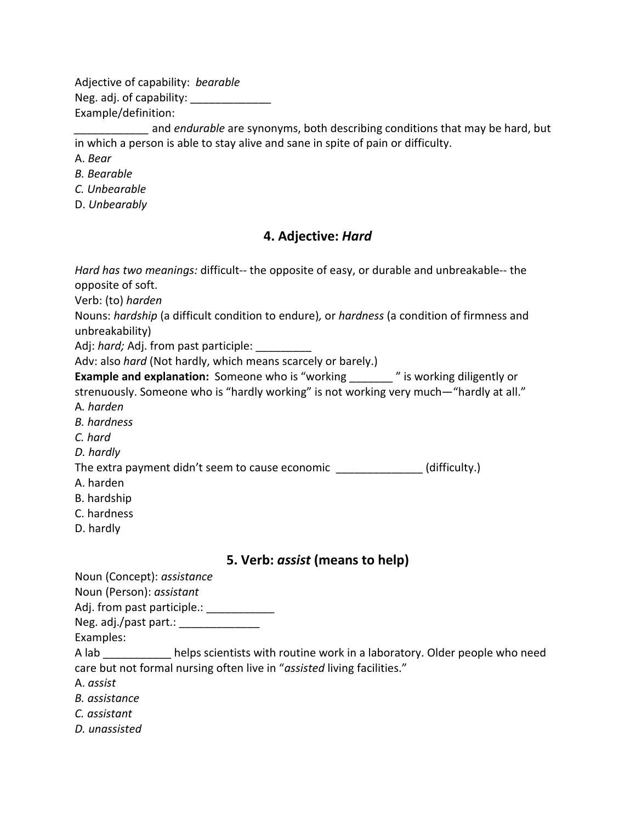Adjective of capability: bearable Neg. adj. of capability: Example/definition:

and *endurable* are synonyms, both describing conditions that may be hard, but in which a person is able to stay alive and sane in spite of pain or difficulty.

A. Bear

B. Bearable

C. Unbearable

D. Unbearably

#### 4. Adjective: Hard

Hard has two meanings: difficult-- the opposite of easy, or durable and unbreakable-- the opposite of soft.

Verb: (to) harden

Nouns: hardship (a difficult condition to endure), or hardness (a condition of firmness and unbreakability)

Adj: hard; Adj. from past participle:

Adv: also hard (Not hardly, which means scarcely or barely.)

Example and explanation: Someone who is "working **Fig. 2008**" is working diligently or

strenuously. Someone who is "hardly working" is not working very much—"hardly at all." A. harden

B. hardness

C. hard

D. hardly

The extra payment didn't seem to cause economic **and all interest (difficulty.**)

- A. harden
- B. hardship
- C. hardness
- D. hardly

# 5. Verb: assist (means to help)

Noun (Concept): assistance

Noun (Person): assistant

Adj. from past participle.: \_\_\_\_\_\_\_\_\_\_\_\_\_\_

Neg. adj./past part.: \_\_\_\_\_\_\_

Examples:

A lab \_\_\_\_\_\_\_\_\_\_\_ helps scientists with routine work in a laboratory. Older people who need care but not formal nursing often live in "assisted living facilities."

A. assist

B. assistance

C. assistant

D. unassisted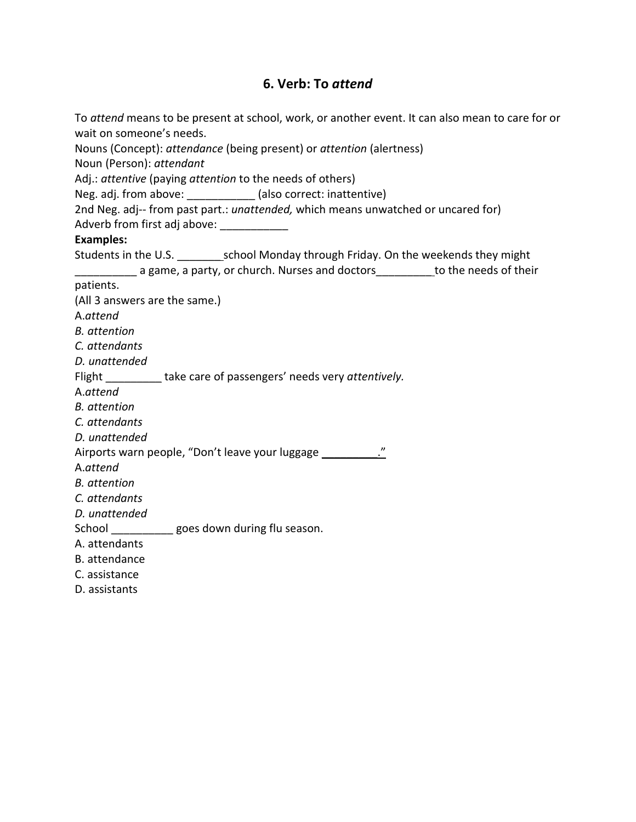# 6. Verb: To attend

| To attend means to be present at school, work, or another event. It can also mean to care for or |
|--------------------------------------------------------------------------------------------------|
| wait on someone's needs.                                                                         |
| Nouns (Concept): attendance (being present) or attention (alertness)                             |
| Noun (Person): attendant                                                                         |
| Adj.: attentive (paying attention to the needs of others)                                        |
| Neg. adj. from above: ____________ (also correct: inattentive)                                   |
| 2nd Neg. adj-- from past part.: unattended, which means unwatched or uncared for)                |
| Adverb from first adj above: ____________                                                        |
| <b>Examples:</b>                                                                                 |
|                                                                                                  |
| a game, a party, or church. Nurses and doctors __________to the needs of their                   |
| patients.                                                                                        |
| (All 3 answers are the same.)                                                                    |
| A.attend                                                                                         |
| <b>B.</b> attention                                                                              |
| C. attendants                                                                                    |
| D. unattended                                                                                    |
| Flight ___________ take care of passengers' needs very attentively.                              |
| A.attend                                                                                         |
| <b>B.</b> attention                                                                              |
| C. attendants                                                                                    |
| D. unattended                                                                                    |
| Airports warn people, "Don't leave your luggage ____________."                                   |
| A.attend                                                                                         |
| <b>B.</b> attention                                                                              |
| C. attendants                                                                                    |
| D. unattended                                                                                    |
| School goes down during flu season.                                                              |
| A. attendants                                                                                    |
| B. attendance                                                                                    |
| C. assistance                                                                                    |
| D. assistants                                                                                    |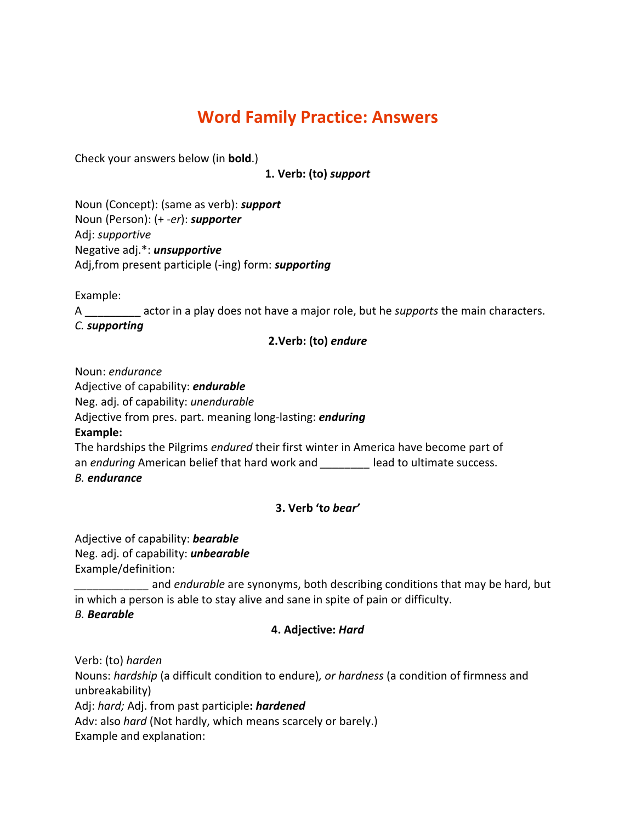# Word Family Practice: Answers

Check your answers below (in bold.)

1. Verb: (to) support

Noun (Concept): (same as verb): support Noun (Person): (+ -er): supporter Adj: supportive Negative adj.\*: unsupportive Adj, from present participle (-ing) form: supporting

Example:

A actor in a play does not have a major role, but he *supports* the main characters.

C. supporting

#### 2.Verb: (to) endure

Noun: endurance

Adjective of capability: endurable

Neg. adj. of capability: unendurable

Adjective from pres. part. meaning long-lasting: *enduring* 

Example:

The hardships the Pilgrims endured their first winter in America have become part of an enduring American belief that hard work and \_\_\_\_\_\_\_\_ lead to ultimate success. B. endurance

#### 3. Verb 'to bear'

Adjective of capability: **bearable** Neg. adj. of capability: *unbearable* Example/definition:

and endurable are synonyms, both describing conditions that may be hard, but in which a person is able to stay alive and sane in spite of pain or difficulty. B. Bearable

#### 4. Adjective: Hard

Verb: (to) harden

Nouns: hardship (a difficult condition to endure), or hardness (a condition of firmness and unbreakability) Adj: hard; Adj. from past participle: hardened

Adv: also hard (Not hardly, which means scarcely or barely.)

Example and explanation: